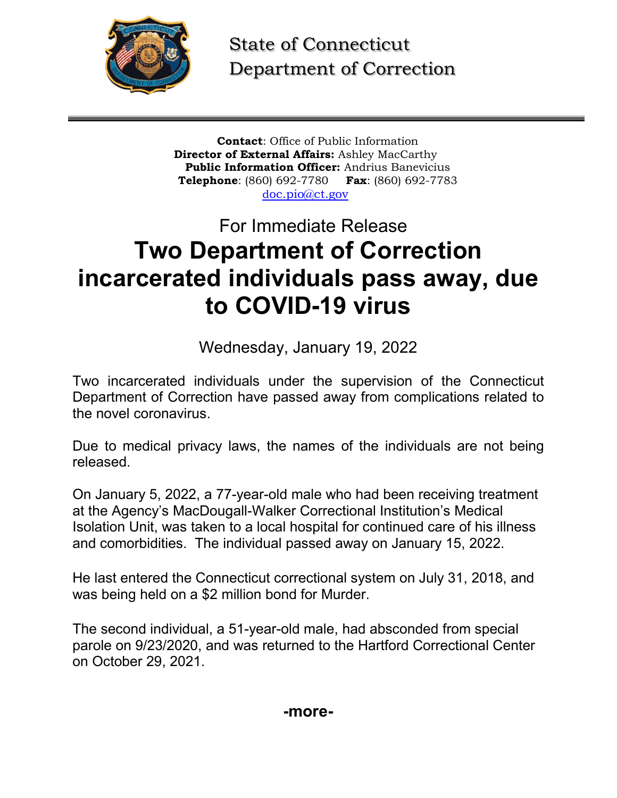

State of Connecticut Department of Correction

**Contact**: Office of Public Information **Director of External Affairs:** Ashley MacCarthy **Public Information Officer:** Andrius Banevicius **Telephone**: (860) 692-7780 **Fax**: (860) 692-7783 [doc.pio@ct.gov](mailto:doc.pio@ct.gov)

## For Immediate Release **Two Department of Correction incarcerated individuals pass away, due to COVID-19 virus**

Wednesday, January 19, 2022

Two incarcerated individuals under the supervision of the Connecticut Department of Correction have passed away from complications related to the novel coronavirus.

Due to medical privacy laws, the names of the individuals are not being released.

On January 5, 2022, a 77-year-old male who had been receiving treatment at the Agency's MacDougall-Walker Correctional Institution's Medical Isolation Unit, was taken to a local hospital for continued care of his illness and comorbidities. The individual passed away on January 15, 2022.

He last entered the Connecticut correctional system on July 31, 2018, and was being held on a \$2 million bond for Murder.

The second individual, a 51-year-old male, had absconded from special parole on 9/23/2020, and was returned to the Hartford Correctional Center on October 29, 2021.

**-more-**